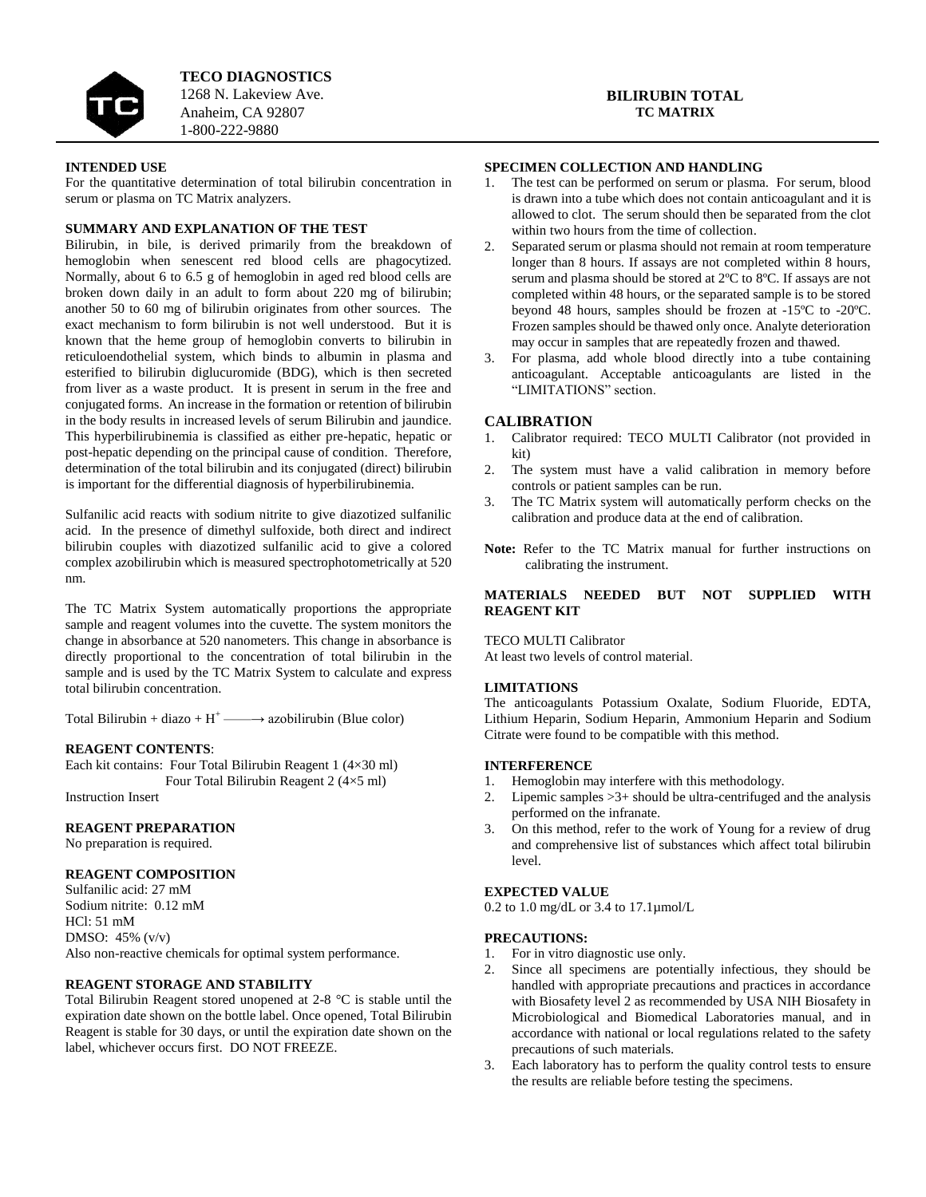

**TECO DIAGNOSTICS** 1268 N. Lakeview Ave. Anaheim, CA 92807 1-800-222-9880

#### **BILIRUBIN TOTAL TC MATRIX**

## **INTENDED USE**

For the quantitative determination of total bilirubin concentration in serum or plasma on TC Matrix analyzers.

### **SUMMARY AND EXPLANATION OF THE TEST**

Bilirubin, in bile, is derived primarily from the breakdown of hemoglobin when senescent red blood cells are phagocytized. Normally, about 6 to 6.5 g of hemoglobin in aged red blood cells are broken down daily in an adult to form about 220 mg of bilirubin; another 50 to 60 mg of bilirubin originates from other sources. The exact mechanism to form bilirubin is not well understood. But it is known that the heme group of hemoglobin converts to bilirubin in reticuloendothelial system, which binds to albumin in plasma and esterified to bilirubin diglucuromide (BDG), which is then secreted from liver as a waste product. It is present in serum in the free and conjugated forms. An increase in the formation or retention of bilirubin in the body results in increased levels of serum Bilirubin and jaundice. This hyperbilirubinemia is classified as either pre-hepatic, hepatic or post-hepatic depending on the principal cause of condition. Therefore, determination of the total bilirubin and its conjugated (direct) bilirubin is important for the differential diagnosis of hyperbilirubinemia.

Sulfanilic acid reacts with sodium nitrite to give diazotized sulfanilic acid. In the presence of dimethyl sulfoxide, both direct and indirect bilirubin couples with diazotized sulfanilic acid to give a colored complex azobilirubin which is measured spectrophotometrically at 520 nm.

The TC Matrix System automatically proportions the appropriate sample and reagent volumes into the cuvette. The system monitors the change in absorbance at 520 nanometers. This change in absorbance is directly proportional to the concentration of total bilirubin in the sample and is used by the TC Matrix System to calculate and express total bilirubin concentration.

Total Bilirubin + diazo +  $H^+$  —  $\rightarrow$  azobilirubin (Blue color)

#### **REAGENT CONTENTS**:

Each kit contains: Four Total Bilirubin Reagent 1 (4×30 ml) Four Total Bilirubin Reagent 2 (4×5 ml)

Instruction Insert

# **REAGENT PREPARATION**

No preparation is required.

### **REAGENT COMPOSITION**

Sulfanilic acid: 27 mM Sodium nitrite: 0.12 mM HCl: 51 mM DMSO: 45% (v/v) Also non-reactive chemicals for optimal system performance.

#### **REAGENT STORAGE AND STABILITY**

Total Bilirubin Reagent stored unopened at 2-8 °C is stable until the expiration date shown on the bottle label. Once opened, Total Bilirubin Reagent is stable for 30 days, or until the expiration date shown on the label, whichever occurs first. DO NOT FREEZE.

# **SPECIMEN COLLECTION AND HANDLING**

- 1. The test can be performed on serum or plasma. For serum, blood is drawn into a tube which does not contain anticoagulant and it is allowed to clot. The serum should then be separated from the clot within two hours from the time of collection.
- 2. Separated serum or plasma should not remain at room temperature longer than 8 hours. If assays are not completed within 8 hours, serum and plasma should be stored at 2ºC to 8ºC. If assays are not completed within 48 hours, or the separated sample is to be stored beyond 48 hours, samples should be frozen at -15ºC to -20ºC. Frozen samples should be thawed only once. Analyte deterioration may occur in samples that are repeatedly frozen and thawed.
- 3. For plasma, add whole blood directly into a tube containing anticoagulant. Acceptable anticoagulants are listed in the "LIMITATIONS" section.

#### **CALIBRATION**

- 1. Calibrator required: TECO MULTI Calibrator (not provided in kit)
- 2. The system must have a valid calibration in memory before controls or patient samples can be run.
- 3. The TC Matrix system will automatically perform checks on the calibration and produce data at the end of calibration.
- **Note:** Refer to the TC Matrix manual for further instructions on calibrating the instrument.

### **MATERIALS NEEDED BUT NOT SUPPLIED WITH REAGENT KIT**

TECO MULTI Calibrator

At least two levels of control material.

#### **LIMITATIONS**

The anticoagulants Potassium Oxalate, Sodium Fluoride, EDTA, Lithium Heparin, Sodium Heparin, Ammonium Heparin and Sodium Citrate were found to be compatible with this method.

### **INTERFERENCE**

- 
- 1. Hemoglobin may interfere with this methodology.<br>2. Lipemic samples  $>3+$  should be ultra-centrifused a Lipemic samples  $>3+$  should be ultra-centrifuged and the analysis performed on the infranate.
- 3. On this method, refer to the work of Young for a review of drug and comprehensive list of substances which affect total bilirubin level.

### **EXPECTED VALUE**

0.2 to 1.0 mg/dL or 3.4 to 17.1µmol/L

# **PRECAUTIONS:**

- 1. For in vitro diagnostic use only.
- 2. Since all specimens are potentially infectious, they should be handled with appropriate precautions and practices in accordance with Biosafety level 2 as recommended by USA NIH Biosafety in Microbiological and Biomedical Laboratories manual, and in accordance with national or local regulations related to the safety precautions of such materials.
- 3. Each laboratory has to perform the quality control tests to ensure the results are reliable before testing the specimens.